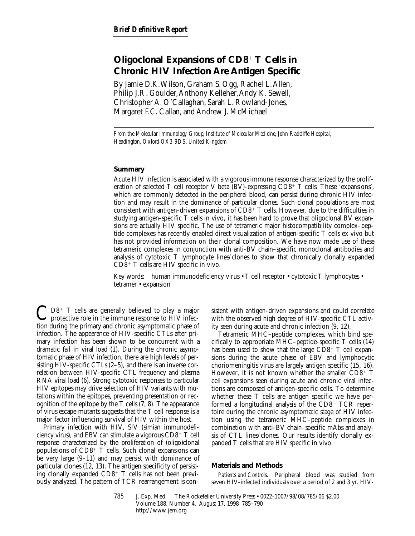# **Oligoclonal Expansions of CD8**<sup>1</sup> **T Cells in Chronic HIV Infection Are Antigen Specific**

By Jamie D.K. Wilson, Graham S. Ogg, Rachel L. Allen, Philip J.R. Goulder, Anthony Kelleher, Andy K. Sewell, Christopher A. O'Callaghan, Sarah L. Rowland-Jones, Margaret F.C. Callan, and Andrew J. McMichael

*From the Molecular Immunology Group, Institute of Molecular Medicine, John Radcliffe Hospital, Headington, Oxford OX3 9DS, United Kingdom*

## **Summary**

Acute HIV infection is associated with a vigorous immune response characterized by the proliferation of selected T cell receptor V beta (BV)-expressing  $CD8^+$  T cells. These 'expansions', which are commonly detected in the peripheral blood, can persist during chronic HIV infection and may result in the dominance of particular clones. Such clonal populations are most consistent with antigen-driven expansions of  $CD8^+$  T cells. However, due to the difficulties in studying antigen-specific T cells in vivo, it has been hard to prove that oligoclonal BV expansions are actually HIV specific. The use of tetrameric major histocompatibility complex–peptide complexes has recently enabled direct visualization of antigen-specific T cells ex vivo but has not provided information on their clonal composition. We have now made use of these tetrameric complexes in conjunction with anti-BV chain–specific monoclonal antibodies and analysis of cytotoxic T lymphocyte lines/clones to show that chronically clonally expanded  $CD8^+$  T cells are HIV specific in vivo.

Key words: human immunodeficiency virus • T cell receptor • cytotoxic T lymphocytes • tetramer • expansion

 $\mathbf{Q}$  D8<sup>+</sup> T cells are generally believed to play a major protective role in the immune response to HIV infection during the primary and chronic asymptomatic phase of infection. The appearance of HIV-specific CTLs after primary infection has been shown to be concurrent with a dramatic fall in viral load (1). During the chronic asymptomatic phase of HIV infection, there are high levels of persisting HIV-specific CTLs (2–5), and there is an inverse correlation between HIV-specific CTL frequency and plasma RNA viral load (6). Strong cytotoxic responses to particular HIV epitopes may drive selection of HIV variants with mutations within the epitopes, preventing presentation or recognition of the epitope by the T cells (7, 8). The appearance of virus escape mutants suggests that the T cell response is a major factor influencing survival of HIV within the host.

Primary infection with HIV, SIV (simian immunodeficiency virus), and EBV can stimulate a vigorous  $CD8^+$  T cell response characterized by the proliferation of (oligo)clonal populations of  $CD8<sup>+</sup>$  T cells. Such clonal expansions can be very large (9–11) and may persist with dominance of particular clones (12, 13). The antigen specificity of persisting clonally expanded  $CD8^+$  T cells has not been previously analyzed. The pattern of TCR rearrangement is consistent with antigen-driven expansions and could correlate with the observed high degree of HIV-specific CTL activity seen during acute and chronic infection (9, 12).

Tetrameric MHC–peptide complexes, which bind specifically to appropriate MHC–peptide-specific T cells (14) has been used to show that the large  $CD8^+$  T cell expansions during the acute phase of EBV and lymphocytic choriomeningitis virus are largely antigen specific (15, 16). However, it is not known whether the smaller  $CD8^+$  T cell expansions seen during acute and chronic viral infections are composed of antigen-specific cells. To determine whether these T cells are antigen specific we have performed a longitudinal analysis of the  $CD8<sup>+</sup> TCR$  repertoire during the chronic asymptomatic stage of HIV infection using the tetrameric MHC–peptide complexes in combination with anti-BV chain–specific mAbs and analysis of CTL lines/clones. Our results identify clonally expanded T cells that are HIV specific in vivo.

#### **Materials and Methods**

*Patients and Controls.* Peripheral blood was studied from seven HIV-infected individuals over a period of 2 and 3 yr. HIV-

785 J. Exp. Med. © The Rockefeller University Press • 0022-1007/98/08/785/06 \$2.00 Volume 188, Number 4, August 17, 1998 785–790 http://www.jem.org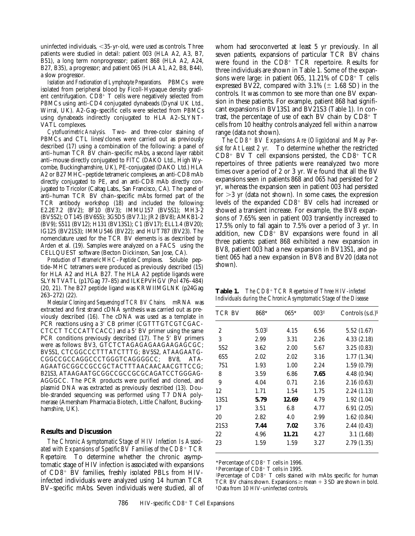uninfected individuals,  $<$ 35-yr-old, were used as controls. Three patients were studied in detail: patient 003 (HLA A2, A3, B7, B51), a long term nonprogressor; patient 868 (HLA A2, A24, B27, B35), a progressor; and patient 065 (HLA A1, A2, B8, B44), a slow progressor.

*Isolation and Fractionation of Lymphocyte Preparations.* PBMCs were isolated from peripheral blood by Ficoll-Hypaque density gradient centrifugation.  $CD8^+$  T cells were negatively selected from PBMCs using anti-CD4 conjugated dynabeads (Dynal UK Ltd., Wirral, UK). A2-Gag–specific cells were selected from PBMCs using dynabeads indirectly conjugated to HLA A2–SLYNT-VATL complexes.

*Cytofluorimetric Analysis.* Two- and three-color staining of PBMCs and CTL lines/clones were carried out as previously described (17) using a combination of the following: a panel of anti–human TCR BV chain–specific mAbs, a second layer rabbit anti–mouse directly conjugated to FITC (DAKO Ltd., High Wycombe, Buckinghamshire, UK), PE-conjugated (DAKO Ltd.) HLA A2 or B27 MHC–peptide tetrameric complexes, an anti-CD8 mAb directly conjugated to PE, and an anti-CD8 mAb directly conjugated to Tricolor (Caltag Labs., San Francisco, CA). The panel of anti–human TCR BV chain–specific mAbs formed part of the TCR antibody workshop (18) and included the following: E2.2E7.2 (BV2); 8F10 (BV3); IMMU157 (BV5S1); MH3-2 (BV5S2); OT145 (BV6S5); 3G5D5 (BV7.1); JR2 (BV8); AMKB1-2 (BV9); S511 (BV12); H131 (BV13S1); C1 (BV17); ELL1.4 (BV20); IG125 (BV21S3); IMMU546 (BV22); and HUT787 (BV23). The nomenclature used for the TCR BV elements is as described by Arden et al. (19). Samples were analyzed on a  $FACS^{\circledast}$  using the CELLQUEST software (Becton Dickinson, San Jose, CA).

*Production of Tetrameric MHC–Peptide Complexes.* Soluble peptide–MHC tetramers were produced as previously described (15) for HLA A2 and HLA B27. The HLA A2 peptide ligands were SLYNTVATL (p17Gag 77-85) and ILKEPVHGV (Pol 476-484) (20, 21). The B27 peptide ligand was KRWIIMGLNK (p24Gag 263–272) (22).

*Molecular Cloning and Sequencing of TCR BV Chains.* mRNA was extracted and first strand cDNA synthesis was carried out as previously described (16). The cDNA was used as a template in PCR reactions using a 3' CB primer (CGTTTGTCGTCGAC-CTCCT TCCCATTCACC) and a 5' BV primer using the same PCR conditions previously described  $(17)$ . The 5' BV primers were as follows: BV3, GTCTCTAGAGAGAAGAAGAGCGC; BV5S1, CTCGGCCCTTTATCTTTG; BV5S2, ATAAGAATG-CGGCCGCCAGGCCCTGGGTCAGGGGCC; BV8, ATA-AGAATGCGGCCGCCGCTACTTTAACAACAACGTTCCG; B21S3, ATAAGAATGCGGCCGCCGCGCAGATCCTGGGAG-AGGGCC. The PCR products were purified and cloned, and plasmid DNA was extracted as previously described (13). Double-stranded sequencing was performed using T7 DNA polymerase (Amersham Pharmacia Biotech, Little Chalfont, Buckinghamshire, UK).

### **Results and Discussion**

*The Chronic Asymptomatic Stage of HIV Infection Is Associated with Expansions of Specific BV Families of the CD8*<sup>1</sup> *TCR Repertoire.* To determine whether the chronic asymptomatic stage of HIV infection is associated with expansions of  $CD8^+$  BV families, freshly isolated PBLs from HIVinfected individuals were analyzed using 14 human TCR BV–specific mAbs. Seven individuals were studied, all of

whom had seroconverted at least 5 yr previously. In all seven patients, expansions of particular TCR BV chains were found in the  $CD8<sup>+</sup> TCR$  repertoire. Results for three individuals are shown in Table 1. Some of the expansions were large: in patient 065,  $11.21\%$  of CD8<sup>+</sup> T cells expressed BV22, compared with  $3.1\%$  ( $\pm$  1.68 SD) in the controls. It was common to see more than one BV expansion in these patients. For example, patient 868 had significant expansions in BV13S1 and BV21S3 (Table 1). In contrast, the percentage of use of each BV chain by  $CD8^+$  T cells from 10 healthy controls analyzed fell within a narrow range (data not shown).

The CD8<sup>+</sup> BV Expansions Are (Oligo)clonal and May Per*sist for At Least 2 yr.* To determine whether the restricted  $CD8^+$  BV T cell expansions persisted, the  $CD8^+$  TCR repertoires of three patients were reanalyzed two more times over a period of 2 or 3 yr. We found that all the BV expansions seen in patients 868 and 065 had persisted for 2 yr, whereas the expansion seen in patient 003 had persisted for  $>3$  yr (data not shown). In some cases, the expression levels of the expanded  $CD8^+$  BV cells had increased or showed a transient increase. For example, the BV8 expansions of 7.65% seen in patient 003 transiently increased to 17.5% only to fall again to 7.5% over a period of 3 yr. In addition, new  $CD8$ <sup>+</sup> BV expansions were found in all three patients: patient 868 exhibited a new expansion in BV8, patient 003 had a new expansion in BV13S1, and patient 065 had a new expansion in BV8 and BV20 (data not shown).

| Table 1.                                                         | The CD8 <sup>+</sup> TCR Repertoire of Three HIV-infected |  |  |  |
|------------------------------------------------------------------|-----------------------------------------------------------|--|--|--|
| Individuals during the Chronic Asymptomatic Stage of the Disease |                                                           |  |  |  |

| TCR BV          | 868* | $065*$ | 003 <sup>‡</sup> | Controls $(s.d.)^s$ |
|-----------------|------|--------|------------------|---------------------|
| 2               | 5.03 | 4.15   | 6.56             | 5.52(1.67)          |
| 3               | 2.99 | 3.31   | 2.26             | 4.33(2.18)          |
| 5S <sub>2</sub> | 3.62 | 2.00   | 5.67             | 3.25(0.83)          |
| 6S <sub>5</sub> | 2.02 | 2.02   | 3.16             | 1.77(1.34)          |
| 7S1             | 1.93 | 1.00   | 2.24             | 1.59(0.79)          |
| 8               | 3.59 | 6.86   | 7.65             | 4.48(0.94)          |
| 9               | 4.04 | 0.71   | 2.16             | 2.16(0.63)          |
| 12              | 1.71 | 1.54   | 1.75             | 2.24(1.13)          |
| 13S1            | 5.79 | 12.69  | 4.79             | 1.92(1.04)          |
| 17              | 3.51 | 6.8    | 4.77             | 6.91(2.05)          |
| 20              | 2.82 | 4.0    | 2.99             | 1.62(0.84)          |
| 21S3            | 7.44 | 7.02   | 3.76             | 2.44(0.43)          |
| 22              | 4.96 | 11.21  | 4.27             | 3.1(1.68)           |
| 23              | 1.59 | 1.59   | 3.27             | 2.79(1.35)          |
|                 |      |        |                  |                     |

\*Percentage of  $CD8$ <sup>+</sup> T cells in 1996.

 ${}^{1}$ Percentage of CD8<sup>+</sup> T cells in 1995.

 $\mathbb P$ ercentage of CD8<sup>+</sup> T cells stained with mAbs specific for human TCR BV chains shown. Expansions  $\geq$  mean  $+$  3 SD are shown in bold. §Data from 10 HIV-uninfected controls.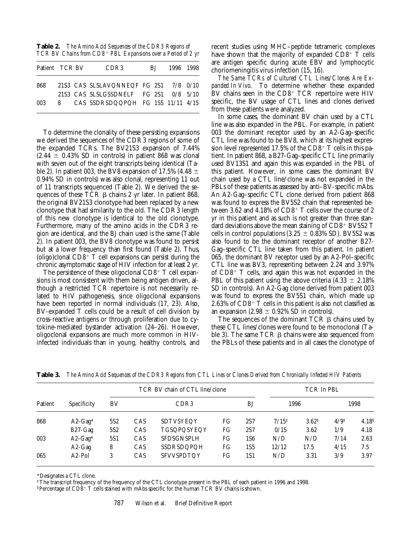**Table 2.** *The Amino Acid Sequences of the CDR3 Regions of TCR BV Chains from CD8*<sup>1</sup> *PBL Expansions over a Period of 2 yr*

|     | Patient TCR BV |  | CDR <sub>3</sub>                      | BL. |  | 1996 1998 |  |  |
|-----|----------------|--|---------------------------------------|-----|--|-----------|--|--|
| 868 |                |  | 21S3 CAS SLSLAVQNNEQF FG 2S1 7/8 0/10 |     |  |           |  |  |
|     |                |  | 21S3 CAS SLSLGSSDNELF FG 2S1 0/8 5/10 |     |  |           |  |  |
| 003 | 8              |  | CAS SSDRSDQQPQH FG 1S5 11/11 4/15     |     |  |           |  |  |

To determine the clonality of these persisting expansions we derived the sequences of the CDR3 regions of some of the expanded TCRs. The BV21S3 expansion of 7.44%  $(2.44 \pm 0.43\%$  SD in controls) in patient 868 was clonal with seven out of the eight transcripts being identical (Table 2). In patient 003, the BV8 expansion of 17.5% (4.48  $\pm$ 0.94% SD in controls) was also clonal, representing 11 out of 11 transcripts sequenced (Table 2). We derived the sequences of these TCR  $\beta$  chains 2 yr later. In patient 868, the original BV21S3 clonotype had been replaced by a new clonotype that had similarity to the old. The CDR3 length of this new clonotype is identical to the old clonotype. Furthermore, many of the amino acids in the CDR3 region are identical, and the BJ chain used is the same (Table 2). In patient 003, the BV8 clonotype was found to persist but at a lower frequency than first found (Table 2). Thus, (oligo)clonal  $CD8^+$  T cell expansions can persist during the chronic asymptomatic stage of HIV infection for at least 2 yr.

The persistence of these oligoclonal  $CD8^+$  T cell expansions is most consistent with them being antigen driven, although a restricted TCR repertoire is not necessarily related to HIV pathogenesis, since oligoclonal expansions have been reported in normal individuals (17, 23). Also, BV-expanded T cells could be a result of cell division by cross-reactive antigens or through proliferation due to cytokine-mediated bystander activation (24–26). However, oligoclonal expansions are much more common in HIVinfected individuals than in young, healthy controls, and

recent studies using MHC–peptide tetrameric complexes have shown that the majority of expanded  $CD8^+$  T cells are antigen specific during acute EBV and lymphocytic choriomeningitis virus infection (15, 16).

*The Same TCRs of Cultured CTL Lines/Clones Are Expanded In Vivo.* To determine whether these expanded  $\rm BV$  chains seen in the  $\rm CD8^+$  TCR repertoire were HIV specific, the BV usage of CTL lines and clones derived from these patients were analyzed.

In some cases, the dominant BV chain used by a CTL line was also expanded in the PBL. For example, in patient 003 the dominant receptor used by an A2-Gag–specific CTL line was found to be BV8, which at its highest expression level represented 17.5% of the  $CD8^+$  T cells in this patient. In patient 868, a B27-Gag–specific CTL line primarily used BV13S1 and again this was expanded in the PBL of this patient. However, in some cases the dominant BV chain used by a CTL line/clone was not expanded in the PBLs of these patients as assessed by anti–BV-specific mAbs. An A2-Gag–specific CTL clone derived from patient 868 was found to express the BV5S2 chain that represented between 3.62 and 4.18% of  $CD8^+$  T cells over the course of 2 yr in this patient and as such is not greater than three standard deviations above the mean staining of  $CD8^+$  BV5S2 T cells in control populations  $(3.25 \pm 0.83\% \text{ SD})$ . BV5S2 was also found to be the dominant receptor of another B27- Gag–specific CTL line taken from this patient. In patient 065, the dominant BV receptor used by an A2-Pol–specific CTL line was BV3, representing between 2.24 and 3.97% of  $CD8<sup>+</sup>$  T cells, and again this was not expanded in the PBL of this patient using the above criteria  $(4.33 \pm 2.18\%)$ SD in controls). An A2-Gag clone derived from patient 003 was found to express the BV5S1 chain, which made up 2.63% of  $CD8^+$  T cells in this patient is also not classified as an expansion (2.98  $\pm$  0.92% SD in controls).

The sequences of the dominant  $TCR$   $\beta$  chains used by these CTL lines/clones were found to be monoclonal (Table 3). The same TCR  $\beta$  chains were also sequenced from the PBLs of these patients and in all cases the clonotype of

|         |             | TCR BV chain of CTL line/clone |     |                   |    | TCR In PBL |                   |                   |                  |                   |
|---------|-------------|--------------------------------|-----|-------------------|----|------------|-------------------|-------------------|------------------|-------------------|
| Patient | Specificity | BV                             |     | CDR <sub>3</sub>  |    | BJ         | 1996              |                   |                  | 1998              |
| 868     | $A2-Gag^*$  | 5S <sub>2</sub>                | CAS | SDTVSYEQY         | FG | 2S7        | $7/15^{\ddagger}$ | 3.62 <sup>8</sup> | $4/9^{\ddagger}$ | 4.18 <sup>§</sup> |
|         | B27-Gag     | 5S <sub>2</sub>                | CAS | TGSQPQSYEQY       | FG | 2S7        | 0/15              | 3.62              | 1/9              | 4.18              |
| 003     | $A2-Gag*$   | 5S1                            | CAS | <b>SFDSGNSPLH</b> | FG | 1S6        | N/D               | N/D               | 7/14             | 2.63              |
|         | $A2-Gag$    | 8                              | CAS | SSDRSDQPQH        | FG | 1S5        | 12/12             | 17.5              | 4/15             | 7.5               |
| 065     | $A2-Pol$    | 3                              | CAS | <b>SFVVSPDTQY</b> | FG | 1S1        | N/D               | 3.31              | 3/9              | 3.97              |

**Table 3.** *The Amino Acid Sequences of the CDR3 Regions from CTL Lines or Clones Derived from Chronically Infected HIV Patients*

\*Designates a CTL clone.

‡The transcript frequency of the frequency of the CTL clonotype present in the PBL of each patient in 1996 and 1998.

 $\S$ Percentage of CD8<sup>+</sup> T cells stained with mAbs specific for the human TCR BV chains is shown.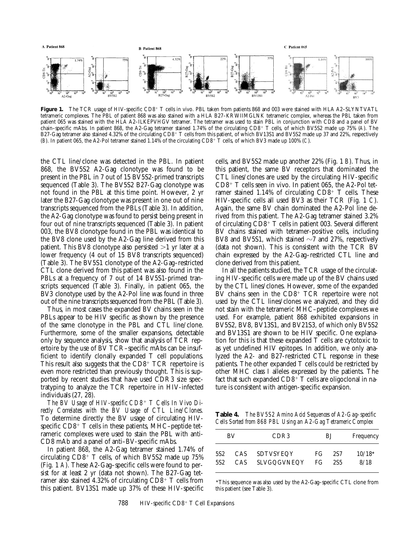

Figure 1. The TCR usage of HIV-specific CD8<sup>+</sup> T cells in vivo. PBL taken from patients 868 and 003 were stained with HLA A2–SLYNTVATL tetrameric complexes. The PBL of patient 868 was also stained with a HLA B27–KRWIIMGLNK tetrameric complex, whereas the PBL taken from patient 065 was stained with the HLA A2–ILKEPVHGV tetramer. The tetramer was used to stain PBL in conjunction with CD8 and a panel of BV chain–specific mAbs. In patient 868, the A2-Gag tetramer stained 1.74% of the circulating CD8<sup>1</sup> T cells, of which BV5S2 made up 75% (*A*). The B27-Gag tetramer also stained 4.32% of the circulating CD8+ T cells from this patient, of which BV13S1 and BV5S2 made up 37 and 22%, respectively (*B*). In patient 065, the A2-Pol tetramer stained 1.14% of the circulating CD8<sup>1</sup> T cells, of which BV3 made up 100% (*C*).

the CTL line/clone was detected in the PBL. In patient 868, the BV5S2 A2-Gag clonotype was found to be present in the PBL in 7 out of 15 BV5S2-primed transcripts sequenced (Table 3). The BV5S2 B27-Gag clonotype was not found in the PBL at this time point. However, 2 yr later the B27-Gag clonotype was present in one out of nine transcripts sequenced from the PBLs (Table 3). In addition, the A2-Gag clonotype was found to persist being present in four out of nine transcripts sequenced (Table 3). In patient 003, the BV8 clonotype found in the PBL was identical to the BV8 clone used by the A2-Gag line derived from this patient. This BV8 clonotype also persisted  $>1$  yr later at a lower frequency (4 out of 15 BV8 transcripts sequenced) (Table 3). The BV5S1 clonotype of the A2-Gag–restricted CTL clone derived from this patient was also found in the PBLs at a frequency of 7 out of 14 BV5S1-primed transcripts sequenced (Table 3). Finally, in patient 065, the BV3 clonotype used by the A2-Pol line was found in three out of the nine transcripts sequenced from the PBL (Table 3).

Thus, in most cases the expanded BV chains seen in the PBLs appear to be HIV specific as shown by the presence of the same clonotype in the PBL and CTL line/clone. Furthermore, some of the smaller expansions, detectable only by sequence analysis, show that analysis of TCR repertoire by the use of BV TCR–specific mAbs can be insufficient to identify clonally expanded T cell populations. This result also suggests that the  $CD8<sup>+</sup> TCR$  repertoire is even more restricted than previously thought. This is supported by recent studies that have used CDR3 size spectratyping to analyze the TCR repertoire in HIV-infected individuals (27, 28).

The BV Usage of HIV-specific CD8<sup>+</sup> T Cells In Vivo Di*rectly Correlates with the BV Usage of CTL Line/Clones.* To determine directly the BV usage of circulating HIVspecific  $CD8^+$  T cells in these patients, MHC–peptide tetrameric complexes were used to stain the PBL with anti-CD8 mAb and a panel of anti–BV-specific mAbs.

In patient 868, the A2-Gag tetramer stained 1.74% of circulating  $CD8^+$  T cells, of which BV5S2 made up 75% (Fig. 1 *A*). These A2-Gag–specific cells were found to persist for at least 2 yr (data not shown). The B27-Gag tetramer also stained 4.32% of circulating  $CD8^+$  T cells from this patient. BV13S1 made up 37% of these HIV-specific cells, and BV5S2 made up another 22% (Fig. 1 *B*). Thus, in this patient, the same BV receptors that dominated the CTL lines/clones are used by the circulating HIV-specific  $CD8^+$  T cells seen in vivo. In patient 065, the A2-Pol tetramer stained 1.14% of circulating  $CD8^+$  T cells. These HIV-specific cells all used BV3 as their TCR (Fig. 1 *C*). Again, the same BV chain dominated the A2-Pol line derived from this patient. The A2-Gag tetramer stained 3.2% of circulating  $CD8^+$  T cells in patient 003. Several different BV chains stained with tetramer-positive cells, including BV8 and BV5S1, which stained  $\sim$ 7 and 27%, respectively (data not shown). This is consistent with the TCR BV chain expressed by the A2-Gag–restricted CTL line and clone derived from this patient.

In all the patients studied, the TCR usage of the circulating HIV-specific cells were made up of the BV chains used by the CTL lines/clones. However, some of the expanded BV chains seen in the  $CD8<sup>+</sup> TCR$  repertoire were not used by the CTL lines/clones we analyzed, and they did not stain with the tetrameric MHC–peptide complexes we used. For example, patient 868 exhibited expansions in BV5S2, BV8, BV13S1, and BV21S3, of which only BV5S2 and BV13S1 are shown to be HIV specific. One explanation for this is that these expanded T cells are cytotoxic to as yet undefined HIV epitopes. In addition, we only analyzed the A2- and B27-restricted CTL response in these patients. The other expanded T cells could be restricted by other MHC class I alleles expressed by the patients. The fact that such expanded  $CD8^+$  T cells are oligoclonal in nature is consistent with antigen-specific expansion.

**Table 4.** *The BV5S2 Amino Acid Sequences of A2-Gag–specific Cells Sorted from 868 PBL Using an A2-Gag Tetrameric Complex*

| BV              |      | CDR <sub>3</sub> | BJ  |     | Frequency |  |
|-----------------|------|------------------|-----|-----|-----------|--|
| 5S <sub>2</sub> | CAS. | SDTVSYEQY        | FG. | 2S7 | $10/18*$  |  |
| 5S <sub>2</sub> | CAS  | SLVGQGVNEQY      | FG. | 2S5 | 8/18      |  |

\*This sequence was also used by the A2-Gag–specific CTL clone from this patient (see Table 3).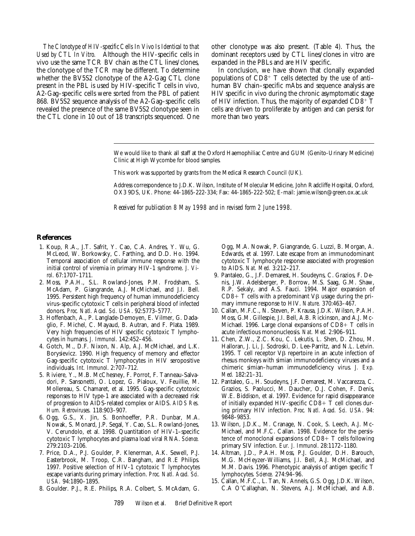*The Clonotype of HIV-specific Cells In Vivo Is Identical to that Used by CTL In Vitro.* Although the HIV-specific cells in vivo use the same TCR BV chain as the CTL lines/clones, the clonotype of the TCR may be different. To determine whether the BV5S2 clonotype of the A2-Gag CTL clone present in the PBL is used by HIV-specific T cells in vivo, A2-Gag–specific cells were sorted from the PBL of patient 868. BV5S2 sequence analysis of the A2-Gag–specific cells revealed the presence of the same BV5S2 clonotype seen in the CTL clone in 10 out of 18 transcripts sequenced. One

other clonotype was also present. (Table 4). Thus, the dominant receptors used by CTL lines/clones in vitro are expanded in the PBLs and are HIV specific.

In conclusion, we have shown that clonally expanded populations of  $CD8^+$  T cells detected by the use of antihuman BV chain–specific mAbs and sequence analysis are HIV specific in vivo during the chronic asymptomatic stage of HIV infection. Thus, the majority of expanded  $CD8^+$  T cells are driven to proliferate by antigen and can persist for more than two years.

We would like to thank all staff at the Oxford Haemophiliac Centre and GUM (Genito-Urinary Medicine) Clinic at High Wycombe for blood samples.

This work was supported by grants from the Medical Research Council (UK).

Address correspondence to J.D.K. Wilson, Institute of Molecular Medicine, John Radcliffe Hospital, Oxford, OX3 9DS, UK. Phone: 44-1865-222-334; Fax: 44-1865-222-502; E-mail: jamie.wilson@green.ox.ac.uk

*Received for publication 8 May 1998 and in revised form 2 June 1998.*

#### **References**

- 1. Koup, R.A., J.T. Safrit, Y. Cao, C.A. Andres, Y. Wu, G. McLeod, W. Borkowsky, C. Farthing, and D.D. Ho. 1994. Temporal association of cellular immune response with the initial control of viremia in primary HIV-1 syndrome. *J. Virol*. 67:1707–1711.
- 2. Moss, P.A.H., S.L. Rowland-Jones, P.M. Frodsham, S. McAdam, P. Giangrande, A.J. McMichael, and J.I. Bell. 1995. Persistent high frequency of human immunodeficiency virus–specific cytotoxic T cells in peripheral blood of infected donors. *Proc. Natl. Acad. Sci. USA*. 92:5773–5777.
- 3. Hoffenbach, A., P. Langlade-Demoyen, E. Vilmer, G. Dadaglio, F. Michel, C. Mayaud, B. Autran, and F. Plata. 1989. Very high frequencies of HIV specific cytotoxic T lymphocytes in humans. *J. Immunol*. 142:452–456.
- 4. Gotch, M., D.F. Nixon, N. Alp, A.J. McMichael, and L.K. Borysievicz. 1990. High frequency of memory and effector Gag-specific cytotoxic T lymphocytes in HIV seropositive individuals. *Int. Immunol*. 2:707–712.
- 5. Riviere, Y., M.B. McChesney, F. Porrot, F. Tanneau-Salvadori, P. Sansonetti, O. Lopez, G. Pialoux, V. Feuillie, M. Mollereau, S. Chamaret, et al. 1995. Gag-specific cytotoxic responses to HIV type-1 are associated with a decreased risk of progression to AIDS-related complex or AIDS. *AIDS Res. Hum. Retroviruses.* 118:903–907.
- 6. Ogg, G.S., X. Jin, S. Bonhoeffer, P.R. Dunbar, M.A. Nowak, S. Monard, J.P. Segal, Y. Cao, S.L. Rowland-Jones, V. Cerundolo, et al. 1998. Quantitation of HIV-1–specific cytotoxic T lymphocytes and plasma load viral RNA. *Science.* 279:2103–2106.
- 7. Price, D.A., P.J. Goulder, P. Klenerman, A.K. Sewell, P.J. Easterbrook, M. Troop, C.R. Bangham, and R.E Philips. 1997. Positive selection of HIV-1 cytotoxic T lymphocytes escape variants during primary infection. *Proc. Natl. Acad. Sci. USA.* 94:1890–1895.
- 8. Goulder. P.J., R.E. Philips, R.A. Colbert, S. McAdam, G.

Ogg, M.A. Nowak, P. Giangrande, G. Luzzi, B. Morgan, A. Edwards, et al. 1997. Late escape from an immunodominant cytotoxic T lymphocyte response associated with progression to AIDS. *Nat. Med.* 3:212–217.

- 9. Pantaleo, G., J.F. Demarest, H. Soudeyns, C. Grazios, F. Denis, J.W. Adelsberger, P. Borrow, M.S. Saag, G.M. Shaw, R.P. Sekaly, and A.S. Fauci. 1994. Major expansion of  $CD8+T$  cells with a predominant V $\beta$  usage during the primary immune response to HIV. *Nature.* 370:463–467.
- 10. Callan, M.F.C., N. Steven, P. Krausa, J.D.K. Wilson, P.A.H. Moss, G.M. Gillespie, J.I. Bell, A.B. Rickinson, and A.J. Mc-Michael. 1996. Large clonal expansions of  $CD8+T$  cells in acute infectious mononucleosis. *Nat. Med.* 2:906–911.
- 11. Chen, Z.W., Z.C. Kou, C. Lekutis, L. Shen, D. Zhou, M. Halloran, J. Li, J. Sodroski, D. Lee-Parritz, and N.L. Letvin. 1995. T cell receptor  $V\beta$  repertoire in an acute infection of rhesus monkeys with simian immunodeficiency viruses and a chimeric simian–human immunodeficiency virus. *J. Exp. Med.* 182:21–31.
- 12. Pantaleo, G., H. Soudeyns, J.F. Demarest, M. Vaccarezza, C. Grazios, S. Paolucci, M. Daucher, O.J. Cohen, F. Denis, W.E. Biddison, et al. 1997. Evidence for rapid disappearance of initially expanded HIV-specific CD8+  $\dot{T}$  cell clones during primary HIV infection. *Proc. Natl. Acad. Sci. USA*. 94: 9848–9853.
- 13. Wilson, J.D.K., M. Cranage, N. Cook, S. Leech, A.J. Mc-Michael, and M.F.C. Callan. 1998. Evidence for the persistence of monoclonal expansions of  $CD8+T$  cells following primary SIV infection. *Eur. J. Immunol*. 28:1172–1180.
- 14. Altman, J.D., P.A.H. Moss, P.J. Goulder, D.H. Barouch, M.G. McHeyzer-Williams, J.I. Bell, A.J. McMichael, and M.M. Davis. 1996. Phenotypic analysis of antigen specific T lymphocytes. *Science.* 274:94–96.
- 15. Callan, M.F.C., L. Tan, N. Annels, G.S. Ogg, J.D.K. Wilson, C.A O'Callaghan, N. Stevens, A.J. McMichael, and A.B.